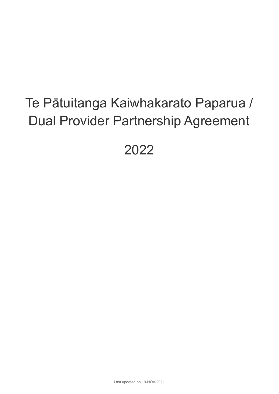# Te Pātuitanga Kaiwhakarato Paparua / Dual Provider Partnership Agreement

2022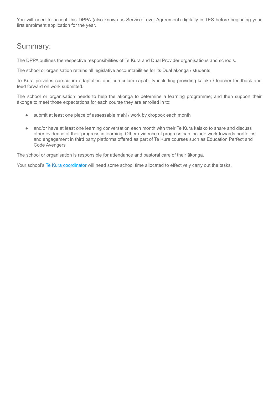You will need to accept this DPPA (also known as Service Level Agreement) digitally in TES before beginning your first enrolment application for the year.

#### Summary:

The DPPA outlines the respective responsibilities of Te Kura and Dual Provider organisations and schools.

The school or organisation retains all legislative accountabilities for its Dual ākonga / students.

Te Kura provides curriculum adaptation and curriculum capability including providing kaiako / teacher feedback and feed forward on work submitted.

The school or organisation needs to help the akonga to determine a learning programme; and then support their ākonga to meet those expectations for each course they are enrolled in to:

- submit at least one piece of assessable mahi / work by dropbox each month
- and/or have at least one learning conversation each month with their Te Kura kaiako to share and discuss other evidence of their progress in learning. Other evidence of progress can include work towards portfolios and engagement in third party platforms offered as part of Te Kura courses such as Education Perfect and Code Avengers

The school or organisation is responsible for attendance and pastoral care of their ākonga.

Your school's Te Kura [coordinator](https://www.tekura.school.nz/dual-providers-draft/how-to-dual-enrol/appointing-a-school-coordinator/) will need some school time allocated to effectively carry out the tasks.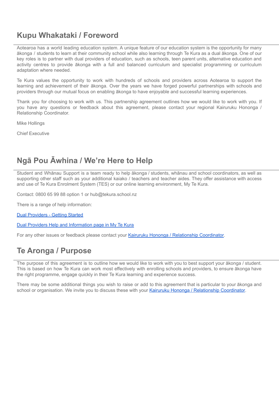#### **Kupu Whakataki / Foreword**

Aotearoa has a world leading education system. A unique feature of our education system is the opportunity for many ākonga / students to learn at their community school while also learning through Te Kura as a dual ākonga. One of our key roles is to partner with dual providers of education, such as schools, teen parent units, alternative education and activity centres to provide ākonga with a full and balanced curriculum and specialist programming or curriculum adaptation where needed.

Te Kura values the opportunity to work with hundreds of schools and providers across Aotearoa to support the learning and achievement of their ākonga. Over the years we have forged powerful partnerships with schools and providers through our mutual focus on enabling ākonga to have enjoyable and successful learning experiences.

Thank you for choosing to work with us. This partnership agreement outlines how we would like to work with you. If you have any questions or feedback about this agreement, please contact your regional Kairuruku Hononga / Relationship Coordinator.

Mike Hollings

Chief Executive

#### **Ngā Pou Āwhina / We're Here to Help**

Student and Whānau Support is a team ready to help ākonga / students, whānau and school coordinators, as well as supporting other staff such as your additional kaiako / teachers and teacher aides. They offer assistance with access and use of Te Kura Enrolment System (TES) or our online learning environment, My Te Kura.

Contact: 0800 65 99 88 option 1 or hub@tekura.school.nz

There is a range of help information:

Dual [Providers](https://www.tekura.school.nz/dual-providers-draft/how-to-dual-enrol/getting-started/) - Getting Started

Dual Providers Help and [Information](https://tekura.desire2learn.com/d2l/home/9513) page in My Te Kura

For any other issues or feedback please contact your Kairuruku Hononga / [Relationship](https://www.tekura.school.nz/dual-providers-draft/relationship-coordinator/) Coordinator.

#### **Te Aronga / Purpose**

The purpose of this agreement is to outline how we would like to work with you to best support your ākonga / student. This is based on how Te Kura can work most effectively with enrolling schools and providers, to ensure ākonga have the right programme, engage quickly in their Te Kura learning and experience success.

There may be some additional things you wish to raise or add to this agreement that is particular to your ākonga and school or organisation. We invite you to discuss these with your Kairuruku Hononga / [Relationship](https://www.tekura.school.nz/dual-providers-draft/relationship-coordinator/) Coordinator.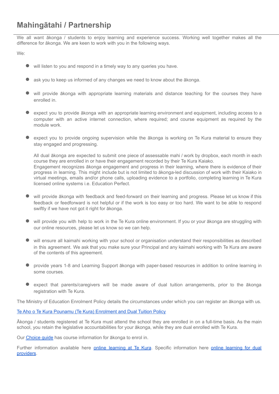We all want ākonga / students to enjoy learning and experience success. Working well together makes all the difference for ākonga. We are keen to work with you in the following ways.

We:

- will listen to you and respond in <sup>a</sup> timely way to any queries you have.
- ask you to keep us informed of any changes we need to know about the ākonga.
- will provide ākonga with appropriate learning materials and distance teaching for the courses they have enrolled in.
- expect you to provide ākonga with an appropriate learning environment and equipment, including access to a computer with an active internet connection, where required; and course equipment as required by the module work.
- expect you to provide ongoing supervision while the ākonga is working on Te Kura material to ensure they stay engaged and progressing.

All dual ākonga are expected to submit one piece of assessable mahi / work by dropbox, each month in each course they are enrolled in or have their engagement recorded by their Te Kura Kaiako. Engagement recognizes ākonga engagement and progress in their learning, where there is evidence of their progress in learning. This might include but is not limited to ākonga-led discussion of work with their Kaiako in virtual meetings, emails and/or phone calls, uploading evidence to a portfolio, completing learning in Te Kura licensed online systems i.e. Education Perfect.

- will provide ākonga with feedback and feed-forward on their learning and progress. Please let us know if this feedback or feedforward is not helpful or if the work is too easy or too hard. We want to be able to respond swiftly if we have not got it right for ākonga.
- will provide you with help to work in the Te Kura online environment. If you or your ākonga are struggling with our online resources, please let us know so we can help.
- will ensure all kaimahi working with your school or organisation understand their responsibilities as described in this agreement. We ask that you make sure your Principal and any kaimahi working with Te Kura are aware of the contents of this agreement.
- provide years 1-8 and Learning Support ākonga with paper-based resources in addition to online learning in some courses.
- expect that parents/caregivers will be made aware of dual tuition arrangements, prior to the ākonga registration with Te Kura.

The Ministry of Education Enrolment Policy details the circumstances under which you can register an ākonga with us.

#### Te Aho o Te Kura Pounamu (Te Kura) [Enrolment](https://www.tekura.school.nz/assets/enrolment/Enrolment-Policy.pdf) and Dual Tuition Policy

Ākonga / students registered at Te Kura must attend the school they are enrolled in on a full-time basis. As the main school, you retain the legislative accountabilities for your ākonga, while they are dual enrolled with Te Kura.

Our [Choice](https://www.tekura.school.nz/assets/publications/Choice-2021.pdf) guide has course information for ākonga to enrol in.

Further information available here online [learning](https://www.tekura.school.nz/dual-providers/first-steps/online-learning/) at Te Kura. Specific information here online learning for dual [providers](https://www.tekura.school.nz/dual-providers/first-steps/online-learning/).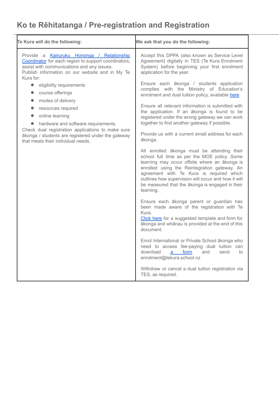# **Ko te Rēhitatanga / Pre-registration and Registration**

| Te Kura will do the following:                                                                                                                                                                                                                                                                                                                                                                                                                                                                                                      | We ask that you do the following:                                                                                                                                                                                                                                                                                                                                                                                                                                                                                                                                                                                                                                                                                                                                                                                                                                                                                                                                                                                                                                                                                                                                                                                                                                                                                                                                                                                                                          |
|-------------------------------------------------------------------------------------------------------------------------------------------------------------------------------------------------------------------------------------------------------------------------------------------------------------------------------------------------------------------------------------------------------------------------------------------------------------------------------------------------------------------------------------|------------------------------------------------------------------------------------------------------------------------------------------------------------------------------------------------------------------------------------------------------------------------------------------------------------------------------------------------------------------------------------------------------------------------------------------------------------------------------------------------------------------------------------------------------------------------------------------------------------------------------------------------------------------------------------------------------------------------------------------------------------------------------------------------------------------------------------------------------------------------------------------------------------------------------------------------------------------------------------------------------------------------------------------------------------------------------------------------------------------------------------------------------------------------------------------------------------------------------------------------------------------------------------------------------------------------------------------------------------------------------------------------------------------------------------------------------------|
| Provide a Kairuruku Hononga / Relationship<br>Coordinator for each region to support coordinators,<br>assist with communications and any issues.<br>Publish information on our website and in My Te<br>Kura for:<br>eligibility requirements<br>$\bullet$<br>course offerings<br>modes of delivery<br>resources required<br>online learning<br>hardware and software requirements.<br>Check dual registration applications to make sure<br>ākonga / students are registered under the gateway<br>that meets their individual needs. | Accept this DPPA (also known as Service Level<br>Agreement) digitally in TES (Te Kura Enrolment<br>System) before beginning your first enrolment<br>application for the year.<br>Ensure each ākonga / students application<br>complies with the Ministry of Education's<br>enrolment and dual tuition policy, available here.<br>Ensure all relevant information is submitted with<br>the application. If an ākonga is found to be<br>registered under the wrong gateway we can work<br>together to find another gateway if possible.<br>Provide us with a current email address for each<br>ākonga.<br>All enrolled ākonga must be attending their<br>school full time as per the MOE policy. Some<br>learning may occur offsite where an ākonga is<br>enrolled using the Reintegration gateway. An<br>agreement with Te Kura is required which<br>outlines how supervision will occur and how it will<br>be measured that the ākonga is engaged in their<br>learning.<br>Ensure each ākonga parent or guardian has<br>been made aware of the registration with Te<br>Kura.<br>Click here for a suggested template and form for<br>ākonga and whānau is provided at the end of this<br>document.<br>Enrol International or Private School ākonga who<br>need to access fee-paying dual tuition can<br>download<br>form<br>and<br>send<br>to<br>a<br>enrolment@tekura.school.nz<br>Withdraw or cancel a dual tuition registration via<br>TES, as required. |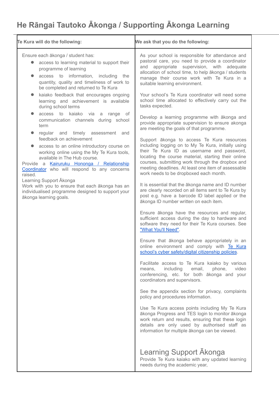# **He Rāngai Tautoko Ākonga / Supporting Ākonga Learning**

| Te Kura will do the following:                                                                                                                                                                                                                                                                                                                                                                                            | We ask that you do the following:                                                                                                                                                                                                                                                                                                                          |
|---------------------------------------------------------------------------------------------------------------------------------------------------------------------------------------------------------------------------------------------------------------------------------------------------------------------------------------------------------------------------------------------------------------------------|------------------------------------------------------------------------------------------------------------------------------------------------------------------------------------------------------------------------------------------------------------------------------------------------------------------------------------------------------------|
| Ensure each ākonga / student has:<br>access to learning material to support their<br>programme of learning<br>access to information, including the<br>quantity, quality and timeliness of work to<br>be completed and returned to Te Kura                                                                                                                                                                                 | As your school is responsible for attendance and<br>pastoral care, you need to provide a coordinator<br>and appropriate supervision, with adequate<br>allocation of school time, to help ākonga / students<br>manage their course work with Te Kura in a<br>suitable learning environment.                                                                 |
| kaiako feedback that encourages ongoing<br>learning and achievement is available<br>during school terms                                                                                                                                                                                                                                                                                                                   | Your school's Te Kura coordinator will need some<br>school time allocated to effectively carry out the<br>tasks expected.                                                                                                                                                                                                                                  |
| kaiako<br>access to<br>via a<br>range<br>of<br>communication channels during school<br>term<br>and timely assessment and<br>regular                                                                                                                                                                                                                                                                                       | Develop a learning programme with ākonga and<br>provide appropriate supervision to ensure akonga<br>are meeting the goals of that programme.                                                                                                                                                                                                               |
| feedback on achievement<br>access to an online introductory course on<br>working online using the My Te Kura tools,<br>available in The Hub course.<br>Provide a Kairuruku Hononga / Relationship<br>Coordinator who will respond to any concerns<br>raised.<br>Learning Support Akonga<br>Work with you to ensure that each akonga has an<br>individualised programme designed to support your<br>ākonga learning goals. | Support ākonga to access Te Kura resources<br>including logging on to My Te Kura, initially using<br>their Te Kura ID as username and password,<br>locating the course material, starting their online<br>courses, submitting work through the dropbox and<br>meeting deadlines. At least one item of assessable<br>work needs to be dropboxed each month. |
|                                                                                                                                                                                                                                                                                                                                                                                                                           | It is essential that the akonga name and ID number<br>are clearly recorded on all items sent to Te Kura by<br>post e.g. have a barcode ID label applied or the<br>ākonga ID number written on each item.                                                                                                                                                   |
|                                                                                                                                                                                                                                                                                                                                                                                                                           | Ensure ākonga have the resources and regular,<br>sufficient access during the day to hardware and<br>software they need for their Te Kura courses. See<br>"What You'll Need".                                                                                                                                                                              |
|                                                                                                                                                                                                                                                                                                                                                                                                                           | Ensure that ākonga behave appropriately in an<br>online environment and comply with Te Kura<br>school's cyber safety/digital citizenship policies.                                                                                                                                                                                                         |
|                                                                                                                                                                                                                                                                                                                                                                                                                           | Facilitate access to Te Kura kaiako by various<br>including<br>email,<br>phone,<br>video<br>means,<br>conferencing, etc. for both ākonga and your<br>coordinators and supervisors.                                                                                                                                                                         |
|                                                                                                                                                                                                                                                                                                                                                                                                                           | See the appendix section for privacy, complaints<br>policy and procedures information.                                                                                                                                                                                                                                                                     |
|                                                                                                                                                                                                                                                                                                                                                                                                                           | Use Te Kura access points including My Te Kura<br>ākonga Progress and TES login to monitor ākonga<br>work return and results, ensuring that these login<br>details are only used by authorised staff as<br>information for multiple ākonga can be viewed.                                                                                                  |
|                                                                                                                                                                                                                                                                                                                                                                                                                           | <b>Learning Support Akonga</b><br>Provide Te Kura kaiako with any updated learning<br>needs during the academic year,                                                                                                                                                                                                                                      |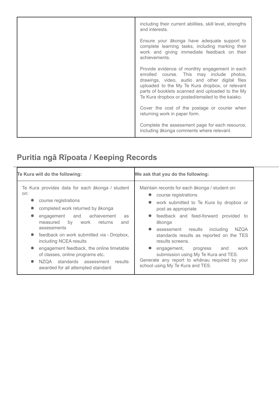| including their current abilities, skill level, strengths<br>and interests.                                                                                                                                                                                                                              |
|----------------------------------------------------------------------------------------------------------------------------------------------------------------------------------------------------------------------------------------------------------------------------------------------------------|
| Ensure your akonga have adequate support to<br>complete learning tasks, including marking their<br>work and giving immediate feedback on their<br>achievements.                                                                                                                                          |
| Provide evidence of monthly engagement in each<br>enrolled course. This may include photos,<br>drawings, video, audio and other digital files<br>uploaded to the My Te Kura dropbox, or relevant<br>parts of booklets scanned and uploaded to the My<br>Te Kura dropbox or posted/emailed to the kaiako. |
| Cover the cost of the postage or courier when<br>returning work in paper form.                                                                                                                                                                                                                           |
| Complete the assessment page for each resource,<br>including ākonga comments where relevant.                                                                                                                                                                                                             |

# **Puritia ngā Rīpoata / Keeping Records**

| Te Kura will do the following:                                                                                                                                                                                                                                                                                                                                                          | We ask that you do the following:                                                                                                                                                                                                                                                                                                                                                              |
|-----------------------------------------------------------------------------------------------------------------------------------------------------------------------------------------------------------------------------------------------------------------------------------------------------------------------------------------------------------------------------------------|------------------------------------------------------------------------------------------------------------------------------------------------------------------------------------------------------------------------------------------------------------------------------------------------------------------------------------------------------------------------------------------------|
| Te Kura provides data for each ākonga / student<br>on:<br>course registrations<br>completed work returned by ākonga<br>engagement and achievement<br>as<br>measured<br>by<br>work<br>returns<br>and<br>assessments<br>feedback on work submitted via - Dropbox,<br>$\bullet$<br>including NCEA results<br>engagement feedback, the online timetable<br>of classes, online programs etc. | Maintain records for each akonga / student on:<br>course registrations<br>work submitted to Te Kura by dropbox or<br>post as appropriate<br>• feedback and feed-forward provided to<br>ākonga<br><b>NZQA</b><br>assessment results including<br>standards results as reported on the TES<br>results screens.<br>work<br>engagement,<br>progress<br>and<br>submission using My Te Kura and TES. |
| NZQA standards assessment<br>$\bullet$<br>results<br>awarded for all attempted standard                                                                                                                                                                                                                                                                                                 | Generate any report to whanau required by your<br>school using My Te Kura and TES.                                                                                                                                                                                                                                                                                                             |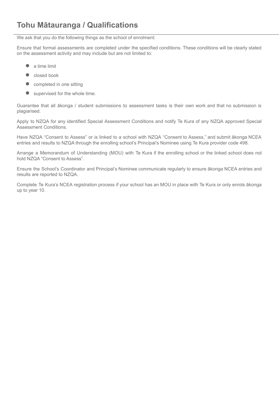We ask that you do the following things as the school of enrolment:

Ensure that formal assessments are completed under the specified conditions. These conditions will be clearly stated on the assessment activity and may include but are not limited to:

- <sup>a</sup> time limit
- closed book
- completed in one sitting
- supervised for the whole time.

Guarantee that all ākonga / student submissions to assessment tasks is their own work and that no submission is plagiarised.

Apply to NZQA for any identified Special Assessment Conditions and notify Te Kura of any NZQA approved Special Assessment Conditions.

Have NZQA "Consent to Assess" or is linked to a school with NZQA "Consent to Assess," and submit ākonga NCEA entries and results to NZQA through the enrolling school's Principal's Nominee using Te Kura provider code 498.

Arrange a Memorandum of Understanding (MOU) with Te Kura if the enrolling school or the linked school does not hold NZQA "Consent to Assess".

Ensure the School's Coordinator and Principal's Nominee communicate regularly to ensure ākonga NCEA entries and results are reported to NZQA.

Complete Te Kura's NCEA registration process if your school has an MOU in place with Te Kura or only enrols ākonga up to year 10.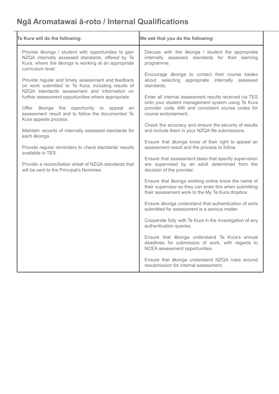# **Ngā Aromatawai ā-roto / Internal Qualifications**

| Te Kura will do the following:                                                                                                                                                       | We ask that you do the following:                                                                                                                                                       |
|--------------------------------------------------------------------------------------------------------------------------------------------------------------------------------------|-----------------------------------------------------------------------------------------------------------------------------------------------------------------------------------------|
| Provide ākonga / student with opportunities to gain<br>NZQA internally assessed standards, offered by Te<br>Kura, where the ākonga is working at an appropriate<br>curriculum level. | Discuss with the ākonga / student the appropriate<br>internally assessed standards for their learning<br>programme.                                                                     |
| Provide regular and timely assessment and feedback<br>on work submitted to Te Kura, including results of<br>NZQA standards assessment and information on                             | Encourage ākonga to contact their course kaiako<br>about selecting appropriate internally assessed<br>standards.                                                                        |
| further assessment opportunities where appropriate.<br>Offer ākonga the opportunity to appeal an<br>assessment result and to follow the documented Te                                | Enter all internal assessment results received via TES<br>onto your student management system using Te Kura<br>provider code 498 and consistent course codes for<br>course endorsement. |
| Kura appeals process.<br>Maintain records of internally assessed standards for<br>each ākonga.                                                                                       | Check the accuracy and ensure the security of results<br>and include them in your NZQA file submissions.                                                                                |
| Provide regular reminders to check standards' results<br>available in TES.                                                                                                           | Ensure that ākonga know of their right to appeal an<br>assessment result and the process to follow.                                                                                     |
| Provide a reconciliation sheet of NZQA standards that<br>will be sent to the Principal's Nominee.                                                                                    | Ensure that assessment tasks that specify supervision<br>are supervised by an adult determined from the<br>decision of the provider.                                                    |
|                                                                                                                                                                                      | Ensure that ākonga working online know the name of<br>their supervisor so they can enter this when submitting<br>their assessment work to the My Te Kura dropbox.                       |
|                                                                                                                                                                                      | Ensure ākonga understand that authentication of work<br>submitted for assessment is a serious matter.                                                                                   |
|                                                                                                                                                                                      | Cooperate fully with Te Kura in the investigation of any<br>authentication queries.                                                                                                     |
|                                                                                                                                                                                      | Ensure that ākonga understand Te Kura's annual<br>deadlines for submission of work, with regards to<br>NCEA assessment opportunities.                                                   |
|                                                                                                                                                                                      | Ensure that ākonga understand NZQA rules around<br>resubmission for internal assessment.                                                                                                |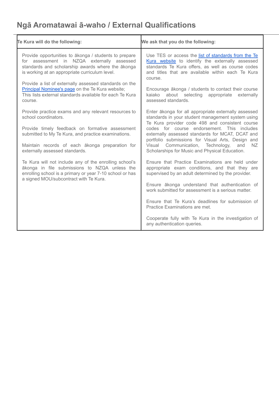# **Ngā Aromatawai ā-waho / External Qualifications**

| Te Kura will do the following:                                                                                                                                                                                | We ask that you do the following:                                                                                                                                                                                            |
|---------------------------------------------------------------------------------------------------------------------------------------------------------------------------------------------------------------|------------------------------------------------------------------------------------------------------------------------------------------------------------------------------------------------------------------------------|
| Provide opportunities to akonga / students to prepare<br>for assessment in NZQA externally assessed<br>standards and scholarship awards where the ākonga<br>is working at an appropriate curriculum level.    | Use TES or access the list of standards from the Te<br>Kura website to identify the externally assessed<br>standards Te Kura offers, as well as course codes<br>and titles that are available within each Te Kura<br>course. |
| Provide a list of externally assessed standards on the<br>Principal Nominee's page on the Te Kura website;<br>This lists external standards available for each Te Kura<br>course.                             | Encourage ākonga / students to contact their course<br>about selecting appropriate<br>kaiako<br>externally<br>assessed standards.                                                                                            |
| Provide practice exams and any relevant resources to<br>school coordinators.                                                                                                                                  | Enter ākonga for all appropriate externally assessed<br>standards in your student management system using<br>Te Kura provider code 498 and consistent course                                                                 |
| Provide timely feedback on formative assessment<br>submitted to My Te Kura, and practice examinations.                                                                                                        | codes for course endorsement. This includes<br>externally assessed standards for MCAT, DCAT and<br>portfolio submissions for Visual Arts, Design and                                                                         |
| Maintain records of each ākonga preparation for<br>externally assessed standards.                                                                                                                             | Visual Communication, Technology,<br>and<br>NZ.<br>Scholarships for Music and Physical Education.                                                                                                                            |
| Te Kura will not include any of the enrolling school's<br>ākonga in file submissions to NZQA unless the<br>enrolling school is a primary or year 7-10 school or has<br>a signed MOU/subcontract with Te Kura. | Ensure that Practice Examinations are held under<br>appropriate exam conditions, and that they are<br>supervised by an adult determined by the provider.                                                                     |
|                                                                                                                                                                                                               | Ensure akonga understand that authentication of<br>work submitted for assessment is a serious matter.                                                                                                                        |
|                                                                                                                                                                                                               | Ensure that Te Kura's deadlines for submission of<br>Practice Examinations are met.                                                                                                                                          |
|                                                                                                                                                                                                               | Cooperate fully with Te Kura in the investigation of<br>any authentication queries.                                                                                                                                          |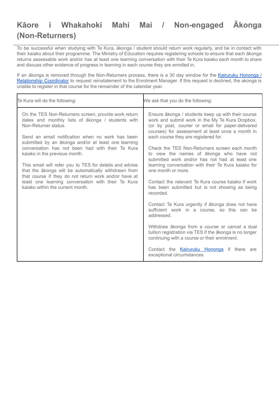## **Kāore i Whakahoki Mahi Mai / Non-engaged Ākonga (Non-Returners)**

To be successful when studying with Te Kura, ākonga / student should return work regularly, and be in contact with their kaiako about their programme. The Ministry of Education requires registering schools to ensure that each ākonga returns assessable work and/or has at least one learning conversation with their Te Kura kaiako each month to share and discuss other evidence of progress in learning in each course they are enrolled in.

If an ākonga is removed through the Non-Returners process, there is a 30 day window for the [Kairuruku](https://www.tekura.school.nz/dual-providers-draft/relationship-coordinator/) Hononga / [Relationship](https://www.tekura.school.nz/dual-providers-draft/relationship-coordinator/) Coordinator to request reinstatement to the Enrolment Manager. If this request is declined, the akonga is unable to register in that course for the remainder of the calendar year.

| Te Kura will do the following:                                                                                                                                                                                                                                                                                                                                                                                                                                                                                                                                                                          | We ask that you do the following:                                                                                                                                                                                                                                                                                                                                                                                                                                                                                                                                                                                                                                                                                                                                                                                                                                                                                                                                 |
|---------------------------------------------------------------------------------------------------------------------------------------------------------------------------------------------------------------------------------------------------------------------------------------------------------------------------------------------------------------------------------------------------------------------------------------------------------------------------------------------------------------------------------------------------------------------------------------------------------|-------------------------------------------------------------------------------------------------------------------------------------------------------------------------------------------------------------------------------------------------------------------------------------------------------------------------------------------------------------------------------------------------------------------------------------------------------------------------------------------------------------------------------------------------------------------------------------------------------------------------------------------------------------------------------------------------------------------------------------------------------------------------------------------------------------------------------------------------------------------------------------------------------------------------------------------------------------------|
| On the TES Non-Returners screen, provide work return<br>dates and monthly lists of akonga / students with<br>Non-Returner status.<br>Send an email notification when no work has been<br>submitted by an ākonga and/or at least one learning<br>conversation has not been had with their Te Kura<br>kaiako in the previous month.<br>This email will refer you to TES for details and advise<br>that the ākonga will be automatically withdrawn from<br>that course if they do not return work and/or have at<br>least one learning conversation with their Te Kura<br>kajako within the current month. | Ensure ākonga / students keep up with their course<br>work and submit work in the My Te Kura Dropbox,<br>(or by post, courier or email for paper-delivered<br>courses) for assessment at least once a month in<br>each course they are registered for.<br>Check the TES Non-Returners screen each month<br>to view the names of akonga who have not<br>submitted work and/or has not had at least one<br>learning conversation with their Te Kura kaiako for<br>one month or more.<br>Contact the relevant Te Kura course kajako if work<br>has been submitted but is not showing as being<br>recorded.<br>Contact Te Kura urgently if akonga does not have<br>sufficient work in a course, so this can be<br>addressed.<br>Withdraw ākonga from a course or cancel a dual<br>tuition registration via TES if the ākonga is no longer<br>continuing with a course or their enrolment.<br>Contact the Kairuruku Hononga if there are<br>exceptional circumstances. |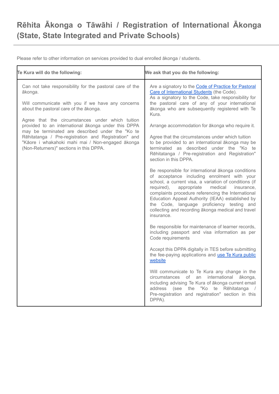## **Rēhita Ākonga o Tāwāhi / Registration of International Ākonga (State, State Integrated and Private Schools)**

**Te Kura will do the following: We ask that you do the following:** Can not take responsibility for the pastoral care of the ākonga. Will communicate with you if we have any concerns about the pastoral care of the ākonga. Agree that the circumstances under which tuition provided to an international ākonga under this DPPA may be terminated are described under the "Ko te Rēhitatanga / Pre-registration and Registration" and "Kāore i whakahoki mahi mai / Non-engaged ākonga (Non-Returners)" sections in this DPPA. Are a signatory to the Code of Practice for [Pastoral](https://www.nzqa.govt.nz/providers-partners/education-code-of-practice/) Care of [International](https://www.nzqa.govt.nz/providers-partners/education-code-of-practice/) Students (the Code). As a signatory to the Code, take responsibility for the pastoral care of any of your international ākonga who are subsequently registered with Te Kura. Arrange accommodation for ākonga who require it. Agree that the circumstances under which tuition to be provided to an international ākonga may be terminated as described under the "Ko te Rēhitatanga / Pre-registration and Registration" section in this DPPA. Be responsible for international ākonga conditions of acceptance including enrolment with your school, a current visa, a variation of conditions (if required), appropriate medical insurance, complaints procedure referencing the International Education Appeal Authority (IEAA) established by the Code, language proficiency testing and collecting and recording ākonga medical and travel insurance. Be responsible for maintenance of learner records, including passport and visa information as per Code requirements Accept this DPPA digitally in TES before submitting the fee-paying applications and use Te Kura [public](https://www.tekura.school.nz/Enrol-with-us) [website](https://www.tekura.school.nz/Enrol-with-us) Will communicate to Te Kura any change in the circumstances of an international ākonga, including advising Te Kura of ākonga current email address (see the "Ko te Rēhitatanga / Pre-registration and registration" section in this DPPA).

Please refer to other information on services provided to dual enrolled ākonga / students.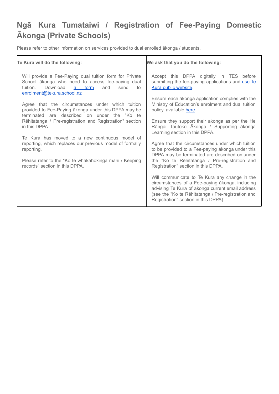# **Ngā Kura Tumataiwi / Registration of Fee-Paying Domestic Ākonga (Private Schools)**

Please refer to other information on services provided to dual enrolled ākonga / students.

| Te Kura will do the following:                                                                                                                                                                          | We ask that you do the following:                                                                                                                                                                                                                  |
|---------------------------------------------------------------------------------------------------------------------------------------------------------------------------------------------------------|----------------------------------------------------------------------------------------------------------------------------------------------------------------------------------------------------------------------------------------------------|
| Will provide a Fee-Paying dual tuition form for Private<br>School ākonga who need to access fee-paying dual<br>Download<br><u>a form</u><br>send<br>tuition.<br>and<br>to<br>enrolment@tekura.school.nz | Accept this DPPA digitally in TES before<br>submitting the fee-paying applications and use Te<br>Kura public website.                                                                                                                              |
| Agree that the circumstances under which tuition<br>provided to Fee-Paying akonga under this DPPA may be<br>terminated are described on under the "Ko te                                                | Ensure each ākonga application complies with the<br>Ministry of Education's enrolment and dual tuition<br>policy, available here.                                                                                                                  |
| Rēhitatanga / Pre-registration and Registration" section<br>in this DPPA.                                                                                                                               | Ensure they support their akonga as per the He<br>Rāngai Tautoko Ākonga / Supporting ākonga<br>Learning section in this DPPA.                                                                                                                      |
| Te Kura has moved to a new continuous model of<br>reporting, which replaces our previous model of formally<br>reporting.                                                                                | Agree that the circumstances under which tuition<br>to be provided to a Fee-paying akonga under this<br>DPPA may be terminated are described on under                                                                                              |
| Please refer to the "Ko te whakahokinga mahi / Keeping<br>records" section in this DPPA.                                                                                                                | the "Ko te Rēhitatanga / Pre-registration and<br>Registration" section in this DPPA.                                                                                                                                                               |
|                                                                                                                                                                                                         | Will communicate to Te Kura any change in the<br>circumstances of a Fee-paying ākonga, including<br>advising Te Kura of ākonga current email address<br>(see the "Ko te Rēhitatanga / Pre-registration and<br>Registration" section in this DPPA). |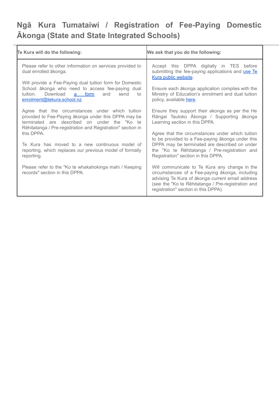# **Ngā Kura Tumataiwi / Registration of Fee-Paying Domestic Ākonga (State and State Integrated Schools)**

| Te Kura will do the following:                                                                                                                                                                                                                                                                                                                                                                                                                                                                                                                                                                                                                                                                                         | We ask that you do the following:                                                                                                                                                                                                                                                                                                                                                                                                                                                                                                                                                                                                                                                             |
|------------------------------------------------------------------------------------------------------------------------------------------------------------------------------------------------------------------------------------------------------------------------------------------------------------------------------------------------------------------------------------------------------------------------------------------------------------------------------------------------------------------------------------------------------------------------------------------------------------------------------------------------------------------------------------------------------------------------|-----------------------------------------------------------------------------------------------------------------------------------------------------------------------------------------------------------------------------------------------------------------------------------------------------------------------------------------------------------------------------------------------------------------------------------------------------------------------------------------------------------------------------------------------------------------------------------------------------------------------------------------------------------------------------------------------|
| Please refer to other information on services provided to<br>dual enrolled ākonga.<br>Will provide a Fee-Paying dual tuition form for Domestic<br>School ākonga who need to access fee-paying dual<br>Download<br>a form<br>send<br>tuition.<br>and<br>to<br>enrolment@tekura.school.nz<br>Agree that the circumstances under which tuition<br>provided to Fee-Paying akonga under this DPPA may be<br>terminated are described on under the "Ko te<br>Rēhitatanga / Pre-registration and Registration" section in<br>this DPPA.<br>Te Kura has moved to a new continuous model of<br>reporting, which replaces our previous model of formally<br>reporting.<br>Please refer to the "Ko te whakahokinga mahi / Keeping | Accept this DPPA digitally in TES before<br>submitting the fee-paying applications and use Te<br>Kura public website.<br>Ensure each ākonga application complies with the<br>Ministry of Education's enrolment and dual tuition<br>policy, available here.<br>Ensure they support their akonga as per the He<br>Rāngai Tautoko Ākonga / Supporting ākonga<br>Learning section in this DPPA.<br>Agree that the circumstances under which tuition<br>to be provided to a Fee-paying akonga under this<br>DPPA may be terminated are described on under<br>the "Ko te Rēhitatanga / Pre-registration and<br>Registration" section in this DPPA.<br>Will communicate to Te Kura any change in the |
| records" section in this DPPA.                                                                                                                                                                                                                                                                                                                                                                                                                                                                                                                                                                                                                                                                                         | circumstances of a Fee-paying ākonga, including<br>advising Te Kura of ākonga current email address<br>(see the "Ko te Rēhitatanga / Pre-registration and<br>registration" section in this DPPA).                                                                                                                                                                                                                                                                                                                                                                                                                                                                                             |